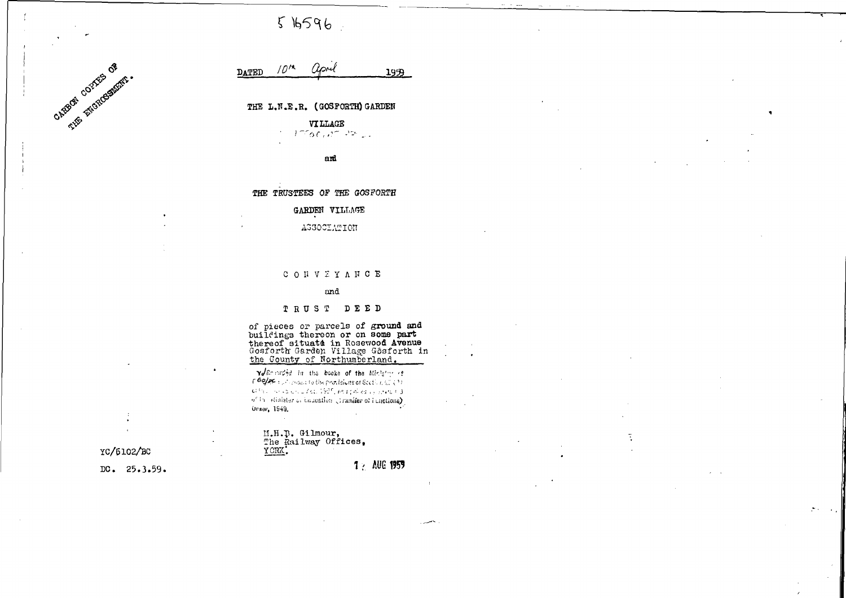$516596$ 



#### $10^{14}$ april **DATED** 1959

THE L.N.E.R. (GOSFORTH) GARDEN

**VILLAGE**  $1760, 1722$ 

and

### THE TRUSTEES OF THE GOSFORTH

# GARDEN VILLAGE

### AGGOCIATION

#### CONVEYANCE

#### and

## TRUST DEED

of pieces or parcels of ground and<br>buildings thereon or on some part<br>thereof situate in Rosewood Avenue<br>Gosforth Garden Village Gösforth in<br>the County of Northumberland.

v/Roordid in the books of the Ministry of  $\mathcal{L}$  60/2011  $\mathcal{L}$  contains to the provisions of Scotland (1) Gifts a nonceptual for 1925, selephiled by white F.3 of in winister or homestion (transfer of functions) Organ, 1949.

# M.H.B. Gilmour,<br>The Railway Offices,<br>YORK.

1 & AUG 1959

YC/6102/BC

DC.  $25.3.59$ .

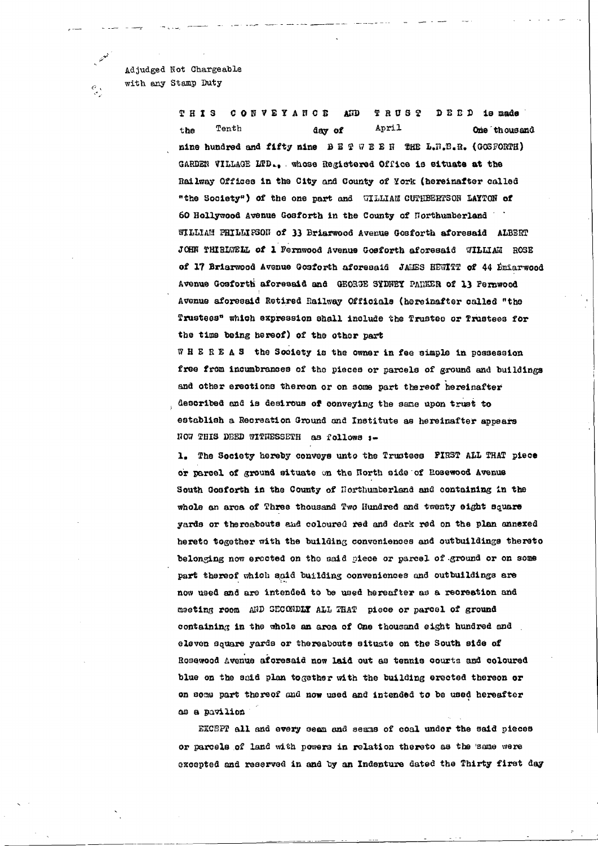Adjudged Not Chargeable with any Stamp Duty

معتملا

 $\frac{\partial}{\partial t}$ 

CONVEYANCE  $P$  R U S  $P$ **THIS ATTD**  $D E D D$  is nade April Tenth One thousand the day of nine hundred and fifty nine  $B E F F B E H$  THE L.N.D.R. (COSFORTH) GARDEN VILLAGE LTD., whose Registered Office is situate at the Railway Offices in the City and County of York (hereinafter called "the Society") of the one part and WILLIAM CUTHBERTSON LAYTON of 60 Hollywood Avenue Gosforth in the County of Northumberland WILLIAM PRILLIPSON of 33 Briarwood Avenue Gosforth aforesaid ALBERT JOHN THIRLWELL of 1 Fernwood Avenue Gosforth aforesaid WILLIAM ROSE of 17 Briarwood Avenue Gosforth aforesaid JAMES HEWITT of 44 Emiarwood Avenue Gosforth aforesaid and GEORGE SYDNEY PARKER of 13 Fernwood Avenue aforesaid Retired Railway Officials (hereinafter called "the Trustees" which expression shall include the Trustee or Trustees for the time being hereof) of the other part

WHEREAS the Society is the owner in fee simple in possession free from incumbrances of the pieces or parcels of ground and buildings and other erections thereon or on some part thereof hereinafter described and is desirous of conveying the same upon trust to establish a Recreation Ground and Institute as hereinafter appears NOW THIS DEED WITHESSETH as follows :-

The Society hereby conveys unto the Trustees FIRST ALL THAT piece  $\mathbf{L}$ or parcel of ground situate on the North side of Rosewood Avenue South Gosforth in the County of Northumberland and containing in the whole an area of Three thousand Two Hundred and twenty eight square yards or thereabouts and coloured red and dark red on the plan annexed hereto together with the building conveniences and outbuildings thereto belonging now erected on the said piece or parcel of ground or on some part thereof which said building conveniences and outbuildings are now used and are intended to be used hereafter as a recreation and meeting room AND SECONDLY ALL THAT piece or parcel of ground containing in the whole an area of One thousand eight hundred and

eleven square yards or thereabouts situate on the South side of Rosewood Avenue aforesaid now laid out as tennis courts and coloured blue on the said plan together with the building erected thereon or on some part thereof and now used and intended to be used hereafter as a pavilion

EXCEPT all and every seem and seams of coal under the said pieces

or parcels of land with powers in relation thereto as the same were

excented and reserved in and by an Indenture dated the Thirty first day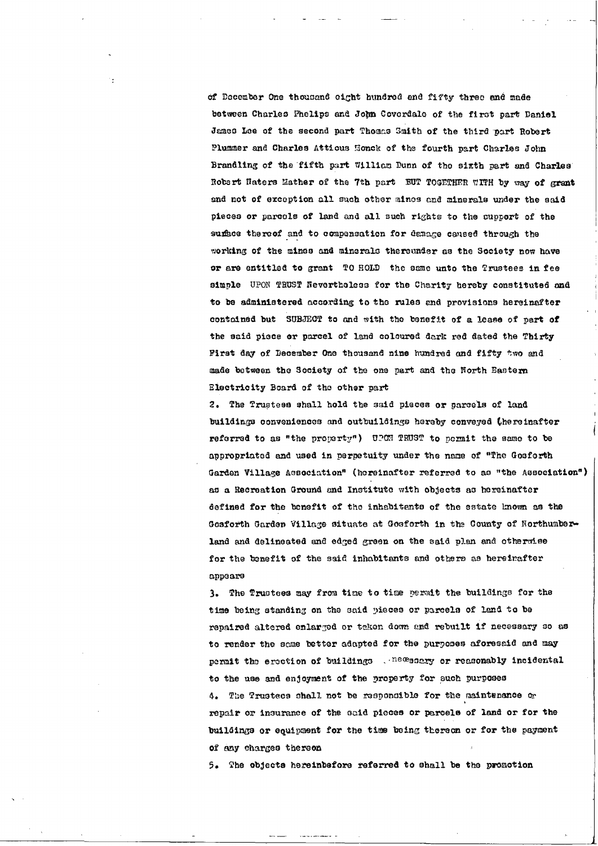of December One thousand eight hundred end fifty three and made between Charles Phelips and John Covordale of the first part Daniel James Lee of the second part Thomas Smith of the third part Robert Plummer and Charles Attious Honck of the fourth part Charles John Brandling of the fifth part William Dunn of the sixth part and Charles Robert Haters Mather of the 7th part BUT TOGETHER WITH by way of grant and not of exception all such other mines and minerals under the said pieces or parcels of land and all such rights to the cupport of the sumbee thereof and to compensation for denage caused through the working of the mines and minerals thereunder as the Society now have or are entitled to grant TO HOLD the same unto the Trustees in fee siunle UPON TRUST Nevertheless for the Charity hereby constituted and to be administered according to the rules and provisions hereinafter contained but SUBJECT to and with the benefit of a lease of part of the said piece or parcel of land coloured dark rod dated the Thirty Pirst day of December One thousand nine hundred and fifty two and made between tho Society of the one part and the Horth Eastern Electricity Board of the other part

2. The Trustees shall hold the said pieces or parcels of land buildings conveniences and outbuildings hereby conveyed (hereinafter referred to as "the property") UPON TRUST to pormit the same to be appropriatod and used in perpetuity under tho naae of "The Gosforth Garden Village Association<sup>s</sup> (hereinafter referred to as "the Association") as a Recreation Ground and Institute with objects as hereinafter defined for the benefit of the inhabitants of the estate known as the Gosforth Garden Village situate at Gosforth in the County of Northumberland and delineated and edged green on the said plan and otherwise for the benefit of the said inhabitants and others as hereinafter appears

3. The Trustees may from time to time permit the buildings for the time being standing on the said pieces or parcels of land to be repaired altered enlarged or teken down and rebuilt if necessary so as to render the same better adapted for the purposes aforesaid and may permit the eroction of buildings  $\mathcal{L}^{\text{new}}$  acrossomably incidental to the use and enjoyment of the property for such purposes 4» The Trustees shall not be responsible for the malntenanoe ot repair or insurance of the said pieces or parcels of land or for the buildings or equipment for the time being thereon or for the payment of any charges thereon

5. The objects hereinbefore referred to shall be the promotion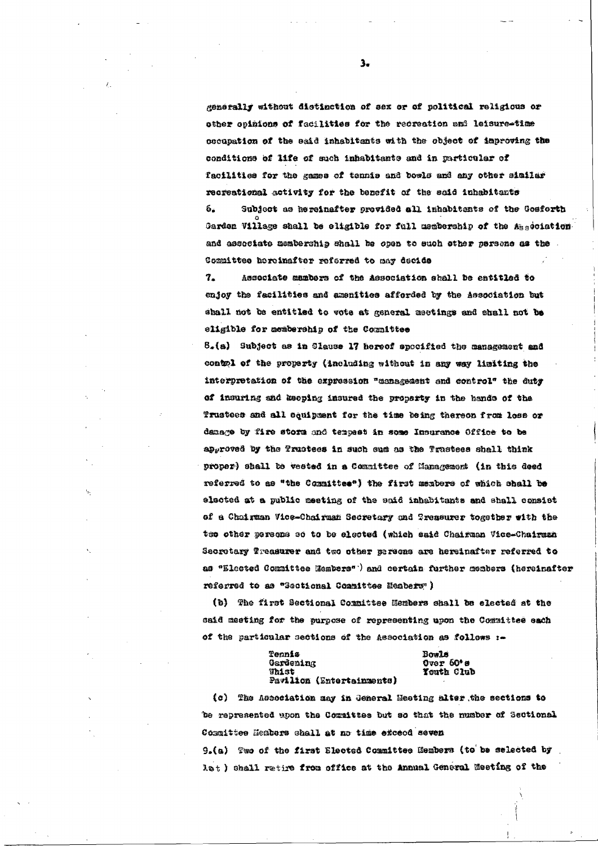generally without distinction of sex or of political religious or other opinions of facilities for the recreation and leisure-time cocupation of the eaid inhabitants with the object of improving the conditions of life of such inhabitants and in particular of Tacilities for the games of tennis and bowls and any other similar recreational activity for the benefit of the said inhabitants 6. Subject as hereinafter provided all inhabitants of the Gosforth Garden Village shall be eligible for full membership of the Aggociation and associate membership shall be open to such other persone as the . Committee hereinafter referred to may decide

7. Associate mambers of the Association shall be entitled to enjoy the facilities and amenities afforded by the Association but shall not be entitled to vote at general meetings and shall not be eligible for acabership of the Committee

 $8_*(a)$  Subject as in Clause 17 hereof spocified the management and contol of the property (including without in any way limiting the interpretation of the expression "management and control" the duty of insuring and keeping insured the property in the hands of the Trustees and all equipment for the time being thereon from loss or danage by fire storm and tempest in some Insurance Office to be approved by the Trustees in such sum as the Trustees shall think proper) shall be vested in a Committee of Management (in this deed referred to as "the Committee") the first members of which shall be elected at a public meeting of the said inhabitants and shall consist of a Chairman Vice-Chairman Secretary and Treasurer together with the tes other persons so to be elected (which said Chairman Vice-Chairman Secretary Treasurer and two other persons are hereinafter referred to as "Elected Committee Hembers") and certain further members (hereinafter referred to as "Sectional Committee Hembers")

(b) The first Sectional Committee Hembers shall be elected at the said meeting for the purpose of representing upon the Committee each of the particular sections of the Association as follows :-

 $3.$ 

Tennis Gardening **Thist** Pavilion (Entertainments)

 $\mathcal{E}_{\mathcal{D}}$ 

Bowls Over  $60^*$  s Youth Club

(c) The Association may in General Meeting alter the sections to be represented upon the Committee but so that the number of Sectional Committee Heabers shall at no time exceed seven 9. (a) Two of the first Elected Committee Members (to be selected by let) shall retire from office at the Annual General Meeting of the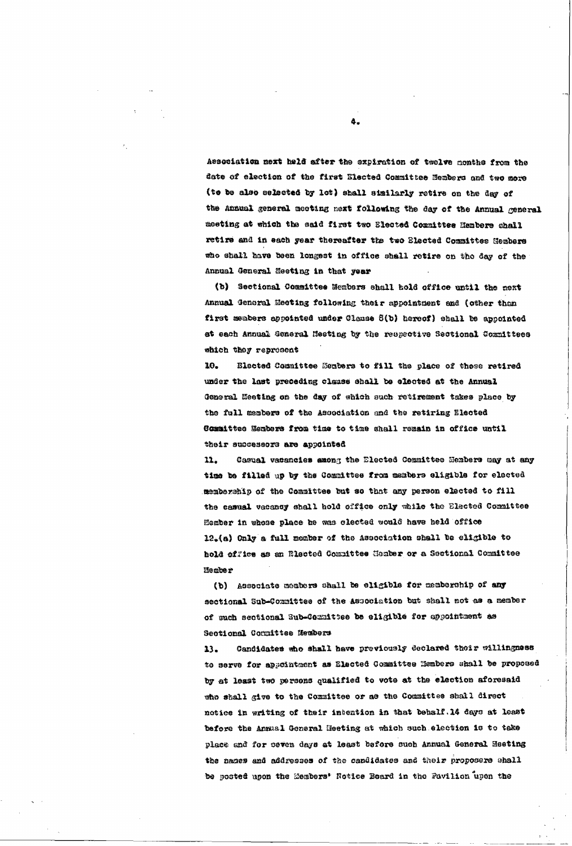Association next held after the expiration of twelve months from the date of election of the first Elected Committee Nembers and two more (to be also selected by lot) shall similarly retire on the day of the annual general meeting next following the day of the Annual general meeting at which the said first two Blected Counittee Membere shall retire and in each year thereafter the two Elected Committee Hembers who shall have been longest in office shall retire on the day of the Annual General Meeting in that year

(b) Sectional Committee Members shall hold office until the next Annual General Meeting following their appointment and (other than first members appointed under Clause 8(b) hereof) shall be appointed at each Annual General Heeting by the respective Sectional Committees which they represent

10. Elected Committee Hembers to fill the place of those retired under the last preceding clause shall be elected at the Annual General Meeting on the day of shich such retirement takes place by the full members of the Association and the retiring Elected Committee Nembers from time to time shall remain in office until their successors are appointed

11. Casual vacancies among the Elected Committee Members may at any time be filled up by the Committee from members sligible for elected membership of the Committee but so that any person elected to fill the casual vacancy shall hold office only while the Elected Committee Hember in whose place he was clected would have held office  $12<sub>z</sub>(a)$  Only a full member of the Association shall be eligible to hold office as an Blected Committee Gember or a Sectional Committee Hember

(b) Associate members shall be eligible for membership of any

4.

sectional Sub-Committee of the Association but shall not as a member of such sectional Sub-Committee be eligible for appointment as Sectional Committee Hembers

Candidates who shall have previously declared their willingness  $13$ to serve for appointment as Elected Committee Hembers shall be proposed by at least two persons qualified to vote at the election aforesaid who shall give to the Committee or as the Committee shall direct notice in writing of their intention in that behalf. 14 days at least before the Annual General Heeting at which such election is to take place and for seven days at least before such Annual General Heeting the names and addresses of the candidates and their proposers shall be posted upon the Members' Notice Board in the Pavilion upon the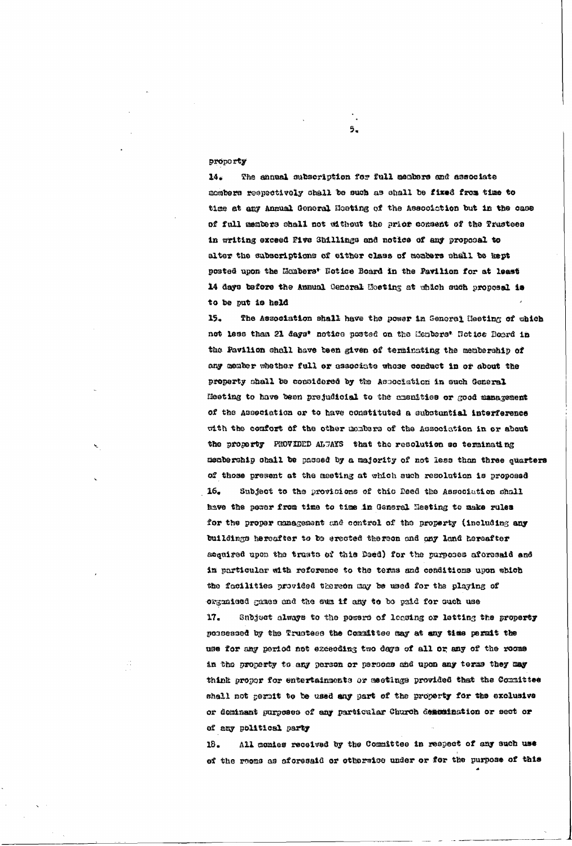#### proporty

The annual subscription for full members and associate  $14.$ mombers respectively shall be such as shall be fixed from time to time at any Annual General Hosting of the Association but in the case of full members shall not without the prior consent of the Trustees in writing exceed Pive Shillings and notice of any proposal to alter the subscriptions of either class of members shall be kept posted upon the Monbers' Notice Board in the Pavilion for at least 14 days before the Annual General Hosting at which such proposal is to be put is held

15. The Association shall have the power in General Heeting of which not less than 21 days' notice posted on the Henbers' Notice Doord in the Pavilion shall have been given of terminating the membership of any member whether full or associate whose conduct in or about the property shall be considered by the Association in such General Heeting to have been prejudicial to the amenities or good management of the Association or to have constituted a substantial interference with the comfort of the other monkers of the Association in or about the property PHOVIDED ALTAYS that the resolution so terminating membership shall be passed by a majority of not less than three quarters of those present at the meeting at which such resolution is proposed  $16.$ Subject to the provisions of this Deed the Association shall have the power from time to time in General Heeting to make rules for the proper unnagement and control of the property (including any buildings hereafter to be erected thereon and any land hereafter acquired upon the trusts of this Deed) for the purposes aforesaid and in particular with reference to the terms and conditions upon which the facilities provided thereon may be used for the playing of organised games and the sum if any to be paid for such use  $17-$ Subject always to the powers of leasing or letting the property possessed by the Trustess the Committee may at any time permit the use for any period not exceeding two days of all or any of the rooms in the property to any person or persons and upon any terms they may think proper for entertainments or meetings provided that the Counittee shall not pernit to be used any part of the property for the exclusive or dominant purposes of any particular Church descaination or sect or of any political party

 $5<sub>•</sub>$ 

All conies received by the Committee in respect of any such use  $13$ of the recess as aforesaid or otherwise under or for the purpose of this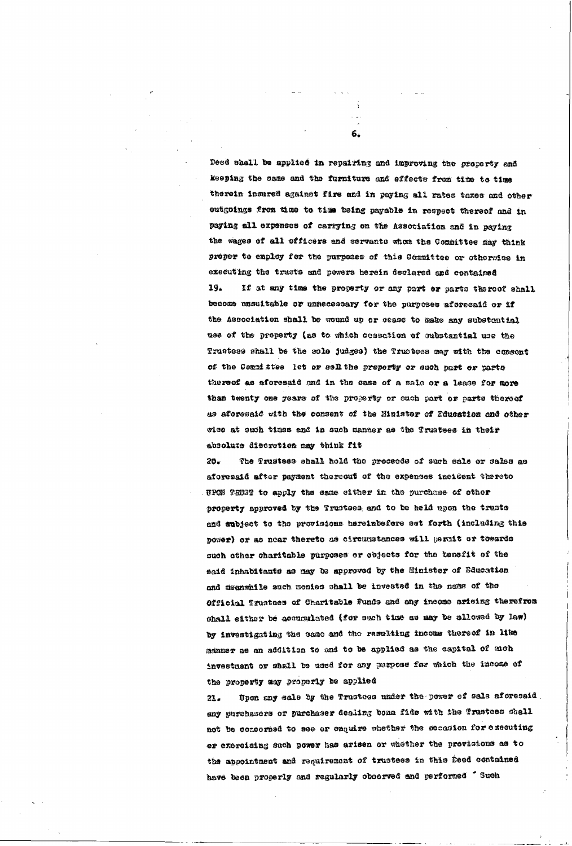Deed shall be applied in repairing and improving the groperty and keeping the same and the furniture and effects from time to time therein insured against fire and in paying all rates taxes and other outgoings from time to time being payable in respect thereof and in paying all expenses of carrying on the Association and in paying the wages of all officers and servants whom the Committee may think proper to employ for the parpease of this Committee or otherwise in executing the trusts and powers herein declared and contained 19. If at any time the property or any part or parts thereof shall

6.

become unsuitable or unnecessary for the purposes aforesaid or if the Association shall be wound up or cease to make any substantial use of the property (as to which cessation of substantial use the Trustess shall be the sole judges) the Trustees may with the consent of the Committee let or sell the property or such part or parts thereof as aforesaid and in the case of a sale or a leace for more than twenty one years of the property or ouch part or parts thereof as aforesaid with the consent of the Minister of Bducation and other vice at such times and in such manner as the Trustees in their absolute discretion may think fit

The Prustees shall hold the proceeds of such sale or sales as  $20.5$ aforesaid after payment thereout of the expenses incident thereto UPON TRUST to apply the eame either in the purchase of other property approved by the Trustees and to be held upon the trusts and aubject to the provisions hereinbefere set forth (including this power) or as near thereto as circumstances will permit or towards such other charitable purposes or objects for the tenefit of the said inhabitants as may be approved by the Hinister of Bducation while such monies shall be invested in the name of the Official Trustees of Charitable Funds and any income arising therefrom shall either be accumulated (for such time as may be allowed by law) by investigating the same and the resulting income thereof in like manner as an addition to and to be applied as the capital of aloh investment or shall be used for any purpose for which the income of the property any property be applied Upon any sale by the Trustees under the power of sale aforesaid  $21.$ any purchasers or purchaser dealing bona fide with the Trustees shell not be concerned to see or enguire whether the cocasion for executing or exercising such power has arisen or whether the provisions as to the appointment and requirement of trustees in this Deed contained have been properly and regularly observed and performed 'Such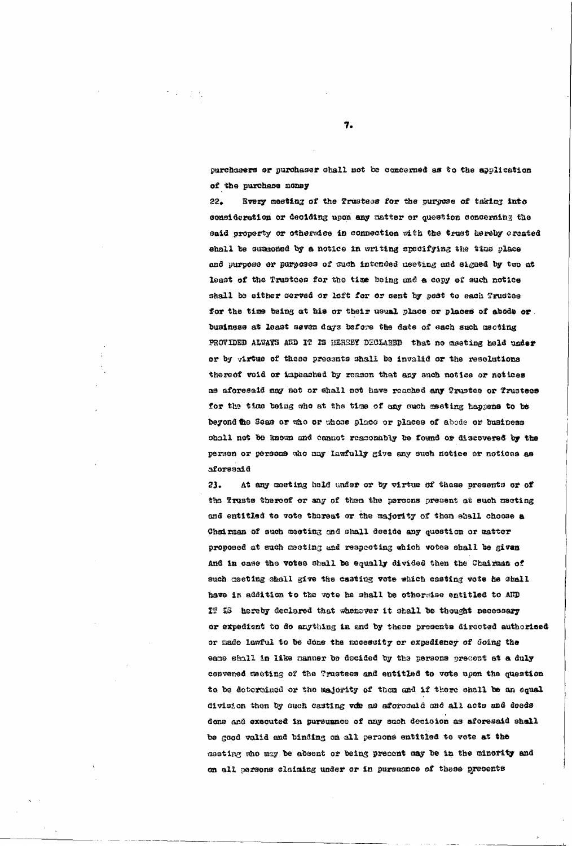purchasers or purchaser shall not be concerned as to the application of the purchase noney

 $22.$ Bvery meeting of the Trustees for the purpose of taking into consideration or deciding upon any matter or question concerning the said property or othersice in connection sith the trust hereby created shall be summoned by a notice in writing specifying the time place and purpose er purposes of such intended neeting and signed by two at least of the Trustees for the time being and a copy of such notice shall be either served or left for or sent by post to each Trustee for the time being at his or their usual place or places of abode or. business at least seven days before the date of each such mecting PROVIDED ALWAYS AND IT IS HEREBY DECLARED that no meeting held under or by virtue of these presents shall be invalid or the resolutions thereof void or impeached by reason that any such notice or notices as aforesaid may not or shall not have reached any Trustee or Trustees for the time being who at the time of any such meeting happens to be beyond the Seas or the or those place or places of abode or business shall not be known and cannot reasonably be found or discovered by the person or persone who may lawfully give any such notice or notices as aforesaid

 $23.$ At any seeting held under or by virtue of these presents or of the Trusts thereof or any of then the persons present at such meeting and entitled to vote thoreat or the majority of them shall choose a Chairman of such meeting and shall decide any question or matter proposed at such meeting and respecting which votes shall be given And in case the votes shall be equally divided then the Chairman of such meeting shall give the casting vote which casting vote he shall

 $T_{\bullet}$ 

have in addition to the vote he shall be otherwise entitled to AUD IT IS hereby declared that whenever it shall be thought necessary or expedient to do anything in and by those presents directed authorised or made lawful to be done the nocessity or expediency of doing the eamo shall in like manner be decided by the persons present at a duly convened meeting of the Trustees and entitled to vote upon the question to be determined or the majority of them and if there shall be an equal division then by such casting voe as aforosaid and all acts and deeds done and executed in pursuance of any such decision as aforesaid shall be good valid and binding on all persons entitled to vote at the meeting who may be absent or being precent may be in the minority and on all persons claiming under or in pursuance of these presents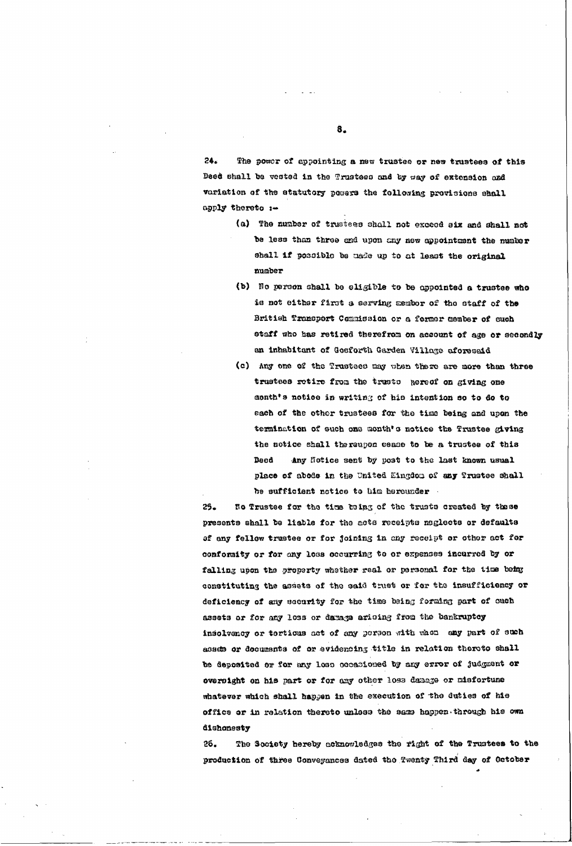The power of appointing a new trustee or new trustees of this  $24.$ Deed shall be vested in the Trustees and by way of extension and variation of the statutory powers the following provisions shall apply thereto :-

- (a) The number of trustees shall not exceed six and shall not be less than three and upon any new appointment the number shall if possible be made up to at least the original mmber
- (b) No person shall be eligible to be appointed a trustee who is not either first a serving member of the staff of the British Transport Commission or a former member of such staff who has retired therefrom on account of age or secondly an inhabitant of Gosforth Garden Village aforesaid
- (c) Any one of the Trustees may when there are more than three trustees retire from the trusts hereof on giving one donth's notice in writing of his intention so to do to each of the other trustees for the time being and upon the termination of such one month's notice the Trustee giving the notice shall thereupon cease to be a trustee of this **Boed** Any Notice sent by post to the last known usual place of abods in the United Kingdom of any Trustee shall he sufficient notice to him herounder.

Ho Trustee for the time being of the trusts created by these  $25$ presents shall be liable for the acts receipts neglects or defaults of any fellow trustee or for joining in any receipt or other act for conformity or for any less occurring to or expenses incurred by or falling upon the property whether real or personal for the time being constituting the assets of the said trust or for the insufficiency or deficiency of any security for the time being forming part of ouch assets or for any loss or damage arising from the bankruptcy insolvency or tortious act of any person with when any part of such assets or documents of or evidencing title in relation thereto shall be deposited or for any lose occasioned by any error of judgment or oversight on his part or for any other loss danage or misfortune whatever which shall happen in the execution of the duties of his office or in relation thereto unless the same happen through his own dishonesty

8.

The Society hereby acknowledges the right of the Trustees to the 26. production of three Conveyances dated the Twenty Third day of October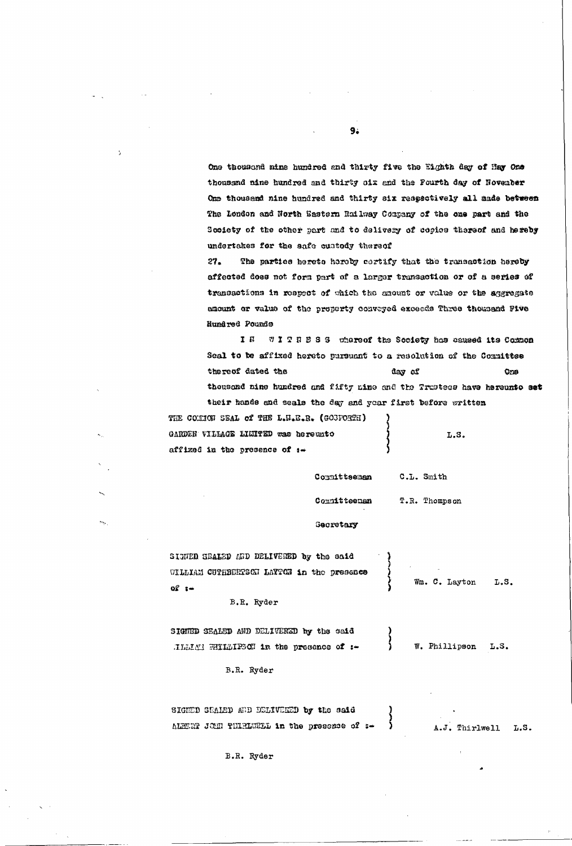One thousand nine hundred and thirty five the Eighth day of Hay One thousand nine hundred and thirty six and the Pourth day of November One thousand nine hundred and thirty six respectively all made between The London and North Sastern Railway Company of the one part and the Society of the other part and to delivery of copies thereof and hereby undertakes for the safe custody thereof

The parties hereto hereby certify that the transaction hereby  $27.$ affected does not form part of a larger transaction or of a series of trenosotions in respect of which the enount or value or the aggregate anount or value of the property conveyed exceeds Three thousand Five Hundred Pounds

IS WITESS whereof the Society has caused its Common Seal to be affixed hereto pursuant to a resolution of the Committee thereof dated the day of Ore thousand nine hundred and fifty nine and the Trustees have hereunto set their hands and seals the day and year first before written

THE COMMON SEAL of THE L.H.B.R. (GOSFORTH) GARDEH VILLAGE LIMITED was hereuto affixed in the presence of  $i$ .

 $\mathbf{I}$ 

 $\sim$ 

L.S.

Committeeman C.L. Smith

Committeeman T.R. Thompson

Secretary

SIGNED SEALED AND DELIVENED by the said VILLIAM CUTHBERGGH LAYTON in the presence

Wm. C. Layton L.S.

 $9.$ 

B.R. Ryder

SIGNED SEALED AND DELIVERED by the eaid W. Phillipson TLLIAN HILLIFOCT in the presence of :-L.S.

B.R. Ryder

SIGHED SEALED AND DELIVEED by the said ALBERT JOHN THIRLURLL in the presence of :-A.J. Thirlwell L.S.

B.R. Ryder